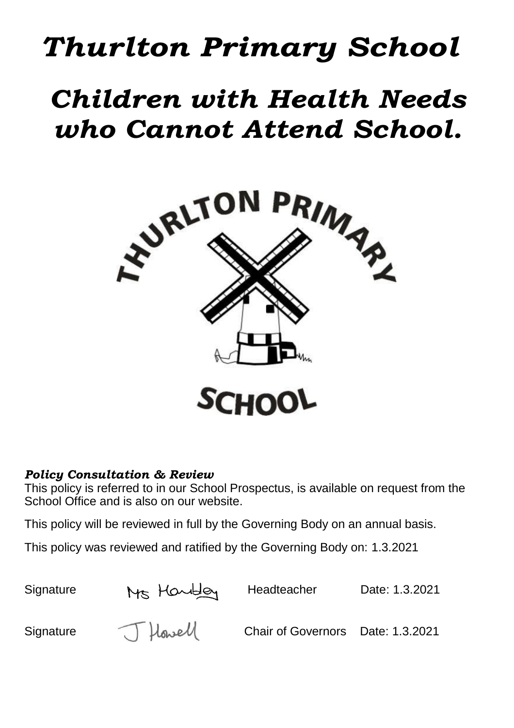# *Thurlton Primary School*

# *Children with Health Needs who Cannot Attend School.*



### *Policy Consultation & Review*

This policy is referred to in our School Prospectus, is available on request from the School Office and is also on our website.

This policy will be reviewed in full by the Governing Body on an annual basis.

This policy was reviewed and ratified by the Governing Body on: 1.3.2021

Signature Ms Houbley Headteacher Date: 1.3.2021<br>Signature J Howell Chair of Governors Date: 1.3.2021 Signature  $\bigcup_{n\geq 0}$  Hawell Chair of Governors Date: 1.3.2021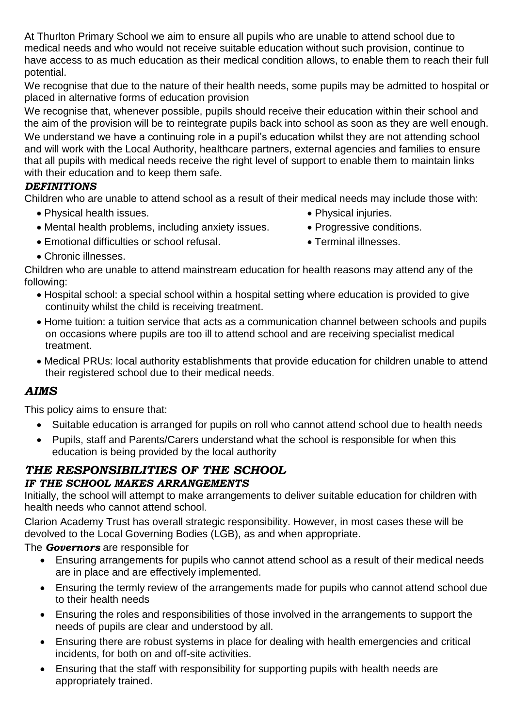At Thurlton Primary School we aim to ensure all pupils who are unable to attend school due to medical needs and who would not receive suitable education without such provision, continue to have access to as much education as their medical condition allows, to enable them to reach their full potential.

We recognise that due to the nature of their health needs, some pupils may be admitted to hospital or placed in alternative forms of education provision

We recognise that, whenever possible, pupils should receive their education within their school and the aim of the provision will be to reintegrate pupils back into school as soon as they are well enough. We understand we have a continuing role in a pupil's education whilst they are not attending school and will work with the Local Authority, healthcare partners, external agencies and families to ensure that all pupils with medical needs receive the right level of support to enable them to maintain links with their education and to keep them safe.

#### *DEFINITIONS*

Children who are unable to attend school as a result of their medical needs may include those with:

- Physical health issues.  $\bullet$  Physical injuries.
	-
- Mental health problems, including anxiety issues. Progressive conditions.
- Emotional difficulties or school refusal. Terminal illnesses.
- Chronic illnesses.

Children who are unable to attend mainstream education for health reasons may attend any of the following:

- Hospital school: a special school within a hospital setting where education is provided to give continuity whilst the child is receiving treatment.
- Home tuition: a tuition service that acts as a communication channel between schools and pupils on occasions where pupils are too ill to attend school and are receiving specialist medical treatment.
- Medical PRUs: local authority establishments that provide education for children unable to attend their registered school due to their medical needs.

### *AIMS*

This policy aims to ensure that:

- Suitable education is arranged for pupils on roll who cannot attend school due to health needs
- Pupils, staff and Parents/Carers understand what the school is responsible for when this education is being provided by the local authority

#### *THE RESPONSIBILITIES OF THE SCHOOL IF THE SCHOOL MAKES ARRANGEMENTS*

Initially, the school will attempt to make arrangements to deliver suitable education for children with health needs who cannot attend school.

Clarion Academy Trust has overall strategic responsibility. However, in most cases these will be devolved to the Local Governing Bodies (LGB), as and when appropriate.

The *Governors* are responsible for

- Ensuring arrangements for pupils who cannot attend school as a result of their medical needs are in place and are effectively implemented.
- Ensuring the termly review of the arrangements made for pupils who cannot attend school due to their health needs
- Ensuring the roles and responsibilities of those involved in the arrangements to support the needs of pupils are clear and understood by all.
- Ensuring there are robust systems in place for dealing with health emergencies and critical incidents, for both on and off-site activities.
- Ensuring that the staff with responsibility for supporting pupils with health needs are appropriately trained.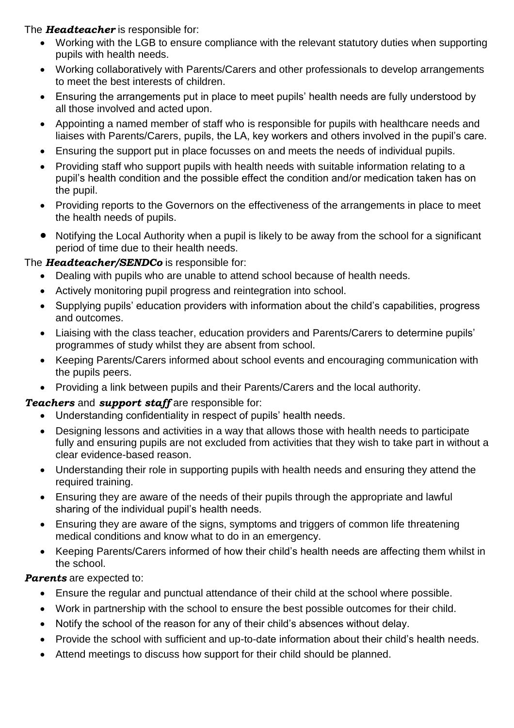The *Headteacher* is responsible for:

- Working with the LGB to ensure compliance with the relevant statutory duties when supporting pupils with health needs.
- Working collaboratively with Parents/Carers and other professionals to develop arrangements to meet the best interests of children.
- Ensuring the arrangements put in place to meet pupils' health needs are fully understood by all those involved and acted upon.
- Appointing a named member of staff who is responsible for pupils with healthcare needs and liaises with Parents/Carers, pupils, the LA, key workers and others involved in the pupil's care.
- Ensuring the support put in place focusses on and meets the needs of individual pupils.
- Providing staff who support pupils with health needs with suitable information relating to a pupil's health condition and the possible effect the condition and/or medication taken has on the pupil.
- Providing reports to the Governors on the effectiveness of the arrangements in place to meet the health needs of pupils.
- Notifying the Local Authority when a pupil is likely to be away from the school for a significant period of time due to their health needs.

#### The *Headteacher/SENDCo* is responsible for:

- Dealing with pupils who are unable to attend school because of health needs.
- Actively monitoring pupil progress and reintegration into school.
- Supplying pupils' education providers with information about the child's capabilities, progress and outcomes.
- Liaising with the class teacher, education providers and Parents/Carers to determine pupils' programmes of study whilst they are absent from school.
- Keeping Parents/Carers informed about school events and encouraging communication with the pupils peers.
- Providing a link between pupils and their Parents/Carers and the local authority.

#### *Teachers* and *support staff* are responsible for:

- Understanding confidentiality in respect of pupils' health needs.
- Designing lessons and activities in a way that allows those with health needs to participate fully and ensuring pupils are not excluded from activities that they wish to take part in without a clear evidence-based reason.
- Understanding their role in supporting pupils with health needs and ensuring they attend the required training.
- Ensuring they are aware of the needs of their pupils through the appropriate and lawful sharing of the individual pupil's health needs.
- Ensuring they are aware of the signs, symptoms and triggers of common life threatening medical conditions and know what to do in an emergency.
- Keeping Parents/Carers informed of how their child's health needs are affecting them whilst in the school.

#### *Parents* are expected to:

- Ensure the regular and punctual attendance of their child at the school where possible.
- Work in partnership with the school to ensure the best possible outcomes for their child.
- Notify the school of the reason for any of their child's absences without delay.
- Provide the school with sufficient and up-to-date information about their child's health needs.
- Attend meetings to discuss how support for their child should be planned.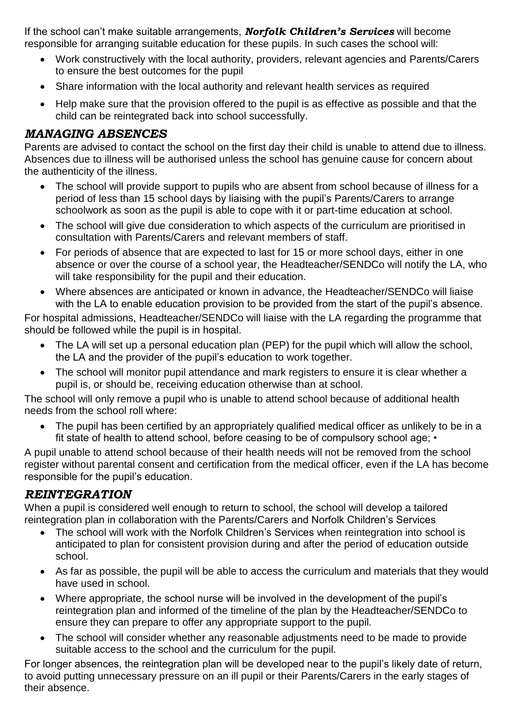If the school can't make suitable arrangements, *Norfolk Children's Services* will become responsible for arranging suitable education for these pupils. In such cases the school will:

- Work constructively with the local authority, providers, relevant agencies and Parents/Carers to ensure the best outcomes for the pupil
- Share information with the local authority and relevant health services as required
- Help make sure that the provision offered to the pupil is as effective as possible and that the child can be reintegrated back into school successfully.

#### *MANAGING ABSENCES*

Parents are advised to contact the school on the first day their child is unable to attend due to illness. Absences due to illness will be authorised unless the school has genuine cause for concern about the authenticity of the illness.

- The school will provide support to pupils who are absent from school because of illness for a period of less than 15 school days by liaising with the pupil's Parents/Carers to arrange schoolwork as soon as the pupil is able to cope with it or part-time education at school.
- The school will give due consideration to which aspects of the curriculum are prioritised in consultation with Parents/Carers and relevant members of staff.
- For periods of absence that are expected to last for 15 or more school days, either in one absence or over the course of a school year, the Headteacher/SENDCo will notify the LA, who will take responsibility for the pupil and their education.
- Where absences are anticipated or known in advance, the Headteacher/SENDCo will liaise with the LA to enable education provision to be provided from the start of the pupil's absence.

For hospital admissions, Headteacher/SENDCo will liaise with the LA regarding the programme that should be followed while the pupil is in hospital.

- The LA will set up a personal education plan (PEP) for the pupil which will allow the school, the LA and the provider of the pupil's education to work together.
- The school will monitor pupil attendance and mark registers to ensure it is clear whether a pupil is, or should be, receiving education otherwise than at school.

The school will only remove a pupil who is unable to attend school because of additional health needs from the school roll where:

 The pupil has been certified by an appropriately qualified medical officer as unlikely to be in a fit state of health to attend school, before ceasing to be of compulsory school age; •

A pupil unable to attend school because of their health needs will not be removed from the school register without parental consent and certification from the medical officer, even if the LA has become responsible for the pupil's education.

#### *REINTEGRATION*

When a pupil is considered well enough to return to school, the school will develop a tailored reintegration plan in collaboration with the Parents/Carers and Norfolk Children's Services

- The school will work with the Norfolk Children's Services when reintegration into school is anticipated to plan for consistent provision during and after the period of education outside school.
- As far as possible, the pupil will be able to access the curriculum and materials that they would have used in school.
- Where appropriate, the school nurse will be involved in the development of the pupil's reintegration plan and informed of the timeline of the plan by the Headteacher/SENDCo to ensure they can prepare to offer any appropriate support to the pupil.
- The school will consider whether any reasonable adjustments need to be made to provide suitable access to the school and the curriculum for the pupil.

For longer absences, the reintegration plan will be developed near to the pupil's likely date of return, to avoid putting unnecessary pressure on an ill pupil or their Parents/Carers in the early stages of their absence.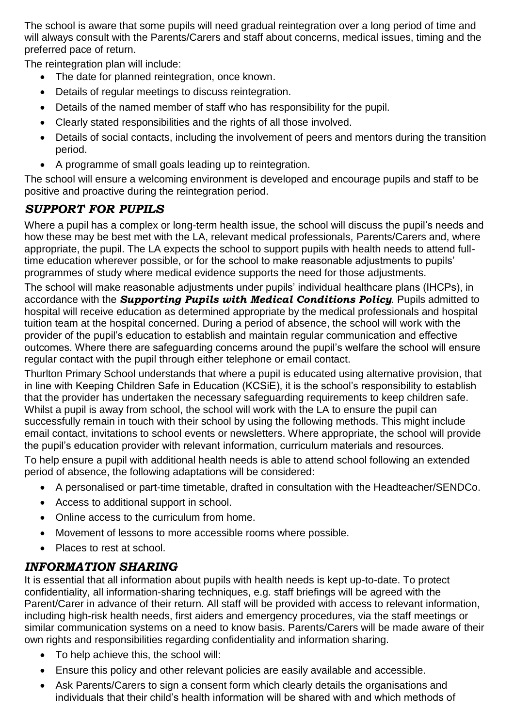The school is aware that some pupils will need gradual reintegration over a long period of time and will always consult with the Parents/Carers and staff about concerns, medical issues, timing and the preferred pace of return.

The reintegration plan will include:

- The date for planned reintegration, once known.
- Details of regular meetings to discuss reintegration.
- Details of the named member of staff who has responsibility for the pupil.
- Clearly stated responsibilities and the rights of all those involved.
- Details of social contacts, including the involvement of peers and mentors during the transition period.
- A programme of small goals leading up to reintegration.

The school will ensure a welcoming environment is developed and encourage pupils and staff to be positive and proactive during the reintegration period.

# *SUPPORT FOR PUPILS*

Where a pupil has a complex or long-term health issue, the school will discuss the pupil's needs and how these may be best met with the LA, relevant medical professionals, Parents/Carers and, where appropriate, the pupil. The LA expects the school to support pupils with health needs to attend fulltime education wherever possible, or for the school to make reasonable adjustments to pupils' programmes of study where medical evidence supports the need for those adjustments.

The school will make reasonable adjustments under pupils' individual healthcare plans (IHCPs), in accordance with the *Supporting Pupils with Medical Conditions Policy*. Pupils admitted to hospital will receive education as determined appropriate by the medical professionals and hospital tuition team at the hospital concerned. During a period of absence, the school will work with the provider of the pupil's education to establish and maintain regular communication and effective outcomes. Where there are safeguarding concerns around the pupil's welfare the school will ensure regular contact with the pupil through either telephone or email contact.

Thurlton Primary School understands that where a pupil is educated using alternative provision, that in line with Keeping Children Safe in Education (KCSiE), it is the school's responsibility to establish that the provider has undertaken the necessary safeguarding requirements to keep children safe. Whilst a pupil is away from school, the school will work with the LA to ensure the pupil can successfully remain in touch with their school by using the following methods. This might include email contact, invitations to school events or newsletters. Where appropriate, the school will provide the pupil's education provider with relevant information, curriculum materials and resources.

To help ensure a pupil with additional health needs is able to attend school following an extended period of absence, the following adaptations will be considered:

- A personalised or part-time timetable, drafted in consultation with the Headteacher/SENDCo.
- Access to additional support in school.
- Online access to the curriculum from home.
- Movement of lessons to more accessible rooms where possible.
- Places to rest at school.

## *INFORMATION SHARING*

It is essential that all information about pupils with health needs is kept up-to-date. To protect confidentiality, all information-sharing techniques, e.g. staff briefings will be agreed with the Parent/Carer in advance of their return. All staff will be provided with access to relevant information, including high-risk health needs, first aiders and emergency procedures, via the staff meetings or similar communication systems on a need to know basis. Parents/Carers will be made aware of their own rights and responsibilities regarding confidentiality and information sharing.

- To help achieve this, the school will:
- Ensure this policy and other relevant policies are easily available and accessible.
- Ask Parents/Carers to sign a consent form which clearly details the organisations and individuals that their child's health information will be shared with and which methods of